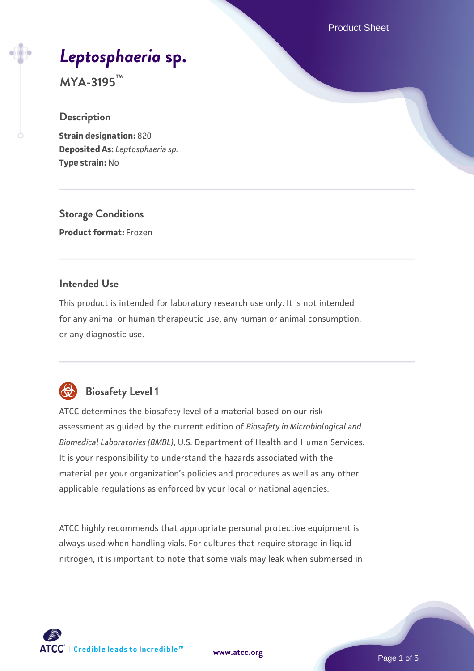Product Sheet

# *[Leptosphaeria](https://www.atcc.org/products/mya-3195)* **[sp.](https://www.atcc.org/products/mya-3195)**

**MYA-3195™**

#### **Description**

**Strain designation:** 820 **Deposited As:** *Leptosphaeria sp.* **Type strain:** No

**Storage Conditions Product format:** Frozen

#### **Intended Use**

This product is intended for laboratory research use only. It is not intended for any animal or human therapeutic use, any human or animal consumption, or any diagnostic use.



# **Biosafety Level 1**

ATCC determines the biosafety level of a material based on our risk assessment as guided by the current edition of *Biosafety in Microbiological and Biomedical Laboratories (BMBL)*, U.S. Department of Health and Human Services. It is your responsibility to understand the hazards associated with the material per your organization's policies and procedures as well as any other applicable regulations as enforced by your local or national agencies.

ATCC highly recommends that appropriate personal protective equipment is always used when handling vials. For cultures that require storage in liquid nitrogen, it is important to note that some vials may leak when submersed in

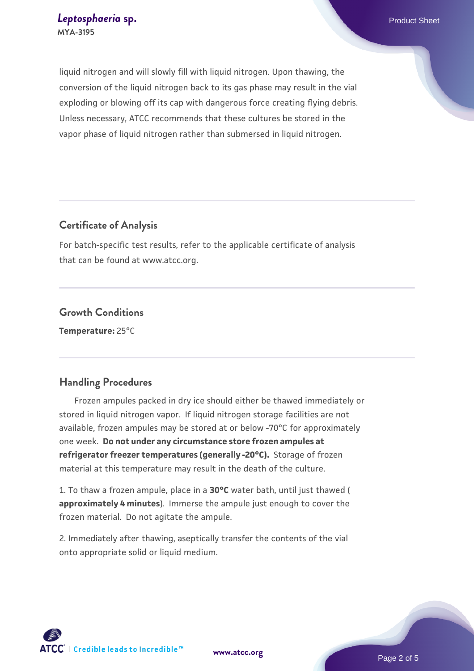liquid nitrogen and will slowly fill with liquid nitrogen. Upon thawing, the conversion of the liquid nitrogen back to its gas phase may result in the vial exploding or blowing off its cap with dangerous force creating flying debris. Unless necessary, ATCC recommends that these cultures be stored in the vapor phase of liquid nitrogen rather than submersed in liquid nitrogen.

#### **Certificate of Analysis**

For batch-specific test results, refer to the applicable certificate of analysis that can be found at www.atcc.org.

### **Growth Conditions**

**Temperature:** 25°C

#### **Handling Procedures**

 Frozen ampules packed in dry ice should either be thawed immediately or stored in liquid nitrogen vapor. If liquid nitrogen storage facilities are not available, frozen ampules may be stored at or below -70°C for approximately one week. **Do not under any circumstance store frozen ampules at refrigerator freezer temperatures (generally -20°C).** Storage of frozen material at this temperature may result in the death of the culture.

1. To thaw a frozen ampule, place in a **30°C** water bath, until just thawed ( **approximately 4 minutes**). Immerse the ampule just enough to cover the frozen material. Do not agitate the ampule.

2. Immediately after thawing, aseptically transfer the contents of the vial onto appropriate solid or liquid medium.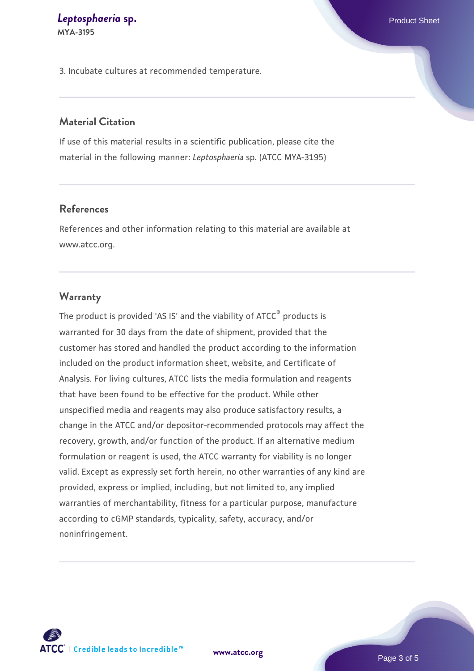# *[Leptosphaeria](https://www.atcc.org/products/mya-3195)* **[sp.](https://www.atcc.org/products/mya-3195) Product Sheet**

**MYA-3195**

3. Incubate cultures at recommended temperature.

#### **Material Citation**

If use of this material results in a scientific publication, please cite the material in the following manner: *Leptosphaeria* sp. (ATCC MYA-3195)

#### **References**

References and other information relating to this material are available at www.atcc.org.

#### **Warranty**

The product is provided 'AS IS' and the viability of ATCC<sup>®</sup> products is warranted for 30 days from the date of shipment, provided that the customer has stored and handled the product according to the information included on the product information sheet, website, and Certificate of Analysis. For living cultures, ATCC lists the media formulation and reagents that have been found to be effective for the product. While other unspecified media and reagents may also produce satisfactory results, a change in the ATCC and/or depositor-recommended protocols may affect the recovery, growth, and/or function of the product. If an alternative medium formulation or reagent is used, the ATCC warranty for viability is no longer valid. Except as expressly set forth herein, no other warranties of any kind are provided, express or implied, including, but not limited to, any implied warranties of merchantability, fitness for a particular purpose, manufacture according to cGMP standards, typicality, safety, accuracy, and/or noninfringement.



**[www.atcc.org](http://www.atcc.org)**

Page 3 of 5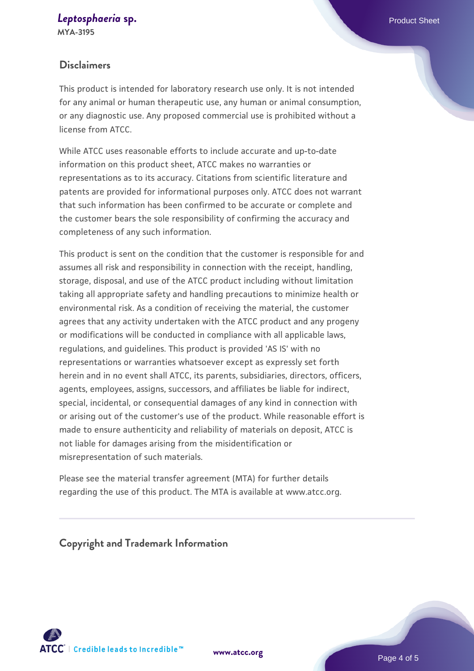## *[Leptosphaeria](https://www.atcc.org/products/mya-3195)* **[sp.](https://www.atcc.org/products/mya-3195) Product Sheet**

**MYA-3195**

#### **Disclaimers**

This product is intended for laboratory research use only. It is not intended for any animal or human therapeutic use, any human or animal consumption, or any diagnostic use. Any proposed commercial use is prohibited without a license from ATCC.

While ATCC uses reasonable efforts to include accurate and up-to-date information on this product sheet, ATCC makes no warranties or representations as to its accuracy. Citations from scientific literature and patents are provided for informational purposes only. ATCC does not warrant that such information has been confirmed to be accurate or complete and the customer bears the sole responsibility of confirming the accuracy and completeness of any such information.

This product is sent on the condition that the customer is responsible for and assumes all risk and responsibility in connection with the receipt, handling, storage, disposal, and use of the ATCC product including without limitation taking all appropriate safety and handling precautions to minimize health or environmental risk. As a condition of receiving the material, the customer agrees that any activity undertaken with the ATCC product and any progeny or modifications will be conducted in compliance with all applicable laws, regulations, and guidelines. This product is provided 'AS IS' with no representations or warranties whatsoever except as expressly set forth herein and in no event shall ATCC, its parents, subsidiaries, directors, officers, agents, employees, assigns, successors, and affiliates be liable for indirect, special, incidental, or consequential damages of any kind in connection with or arising out of the customer's use of the product. While reasonable effort is made to ensure authenticity and reliability of materials on deposit, ATCC is not liable for damages arising from the misidentification or misrepresentation of such materials.

Please see the material transfer agreement (MTA) for further details regarding the use of this product. The MTA is available at www.atcc.org.

**Copyright and Trademark Information**



**[www.atcc.org](http://www.atcc.org)**

Page 4 of 5